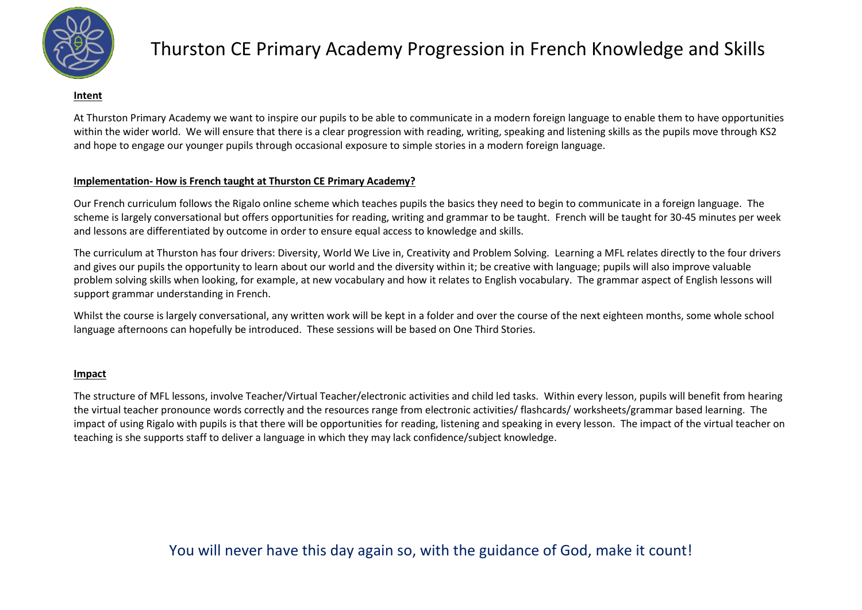

#### **Intent**

At Thurston Primary Academy we want to inspire our pupils to be able to communicate in a modern foreign language to enable them to have opportunities within the wider world. We will ensure that there is a clear progression with reading, writing, speaking and listening skills as the pupils move through KS2 and hope to engage our younger pupils through occasional exposure to simple stories in a modern foreign language.

#### **Implementation- How is French taught at Thurston CE Primary Academy?**

Our French curriculum follows the Rigalo online scheme which teaches pupils the basics they need to begin to communicate in a foreign language. The scheme is largely conversational but offers opportunities for reading, writing and grammar to be taught. French will be taught for 30-45 minutes per week and lessons are differentiated by outcome in order to ensure equal access to knowledge and skills.

The curriculum at Thurston has four drivers: Diversity, World We Live in, Creativity and Problem Solving. Learning a MFL relates directly to the four drivers and gives our pupils the opportunity to learn about our world and the diversity within it; be creative with language; pupils will also improve valuable problem solving skills when looking, for example, at new vocabulary and how it relates to English vocabulary. The grammar aspect of English lessons will support grammar understanding in French.

Whilst the course is largely conversational, any written work will be kept in a folder and over the course of the next eighteen months, some whole school language afternoons can hopefully be introduced. These sessions will be based on One Third Stories.

#### **Impact**

The structure of MFL lessons, involve Teacher/Virtual Teacher/electronic activities and child led tasks. Within every lesson, pupils will benefit from hearing the virtual teacher pronounce words correctly and the resources range from electronic activities/ flashcards/ worksheets/grammar based learning. The impact of using Rigalo with pupils is that there will be opportunities for reading, listening and speaking in every lesson. The impact of the virtual teacher on teaching is she supports staff to deliver a language in which they may lack confidence/subject knowledge.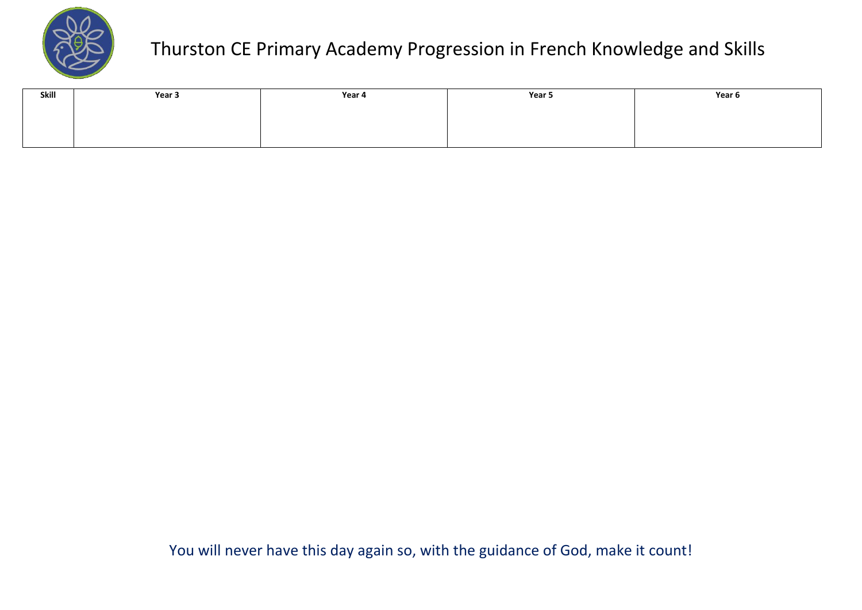

| Skill | Year 3 | Year 4 | Year 5 | Year 6 |
|-------|--------|--------|--------|--------|
|       |        |        |        |        |
|       |        |        |        |        |
|       |        |        |        |        |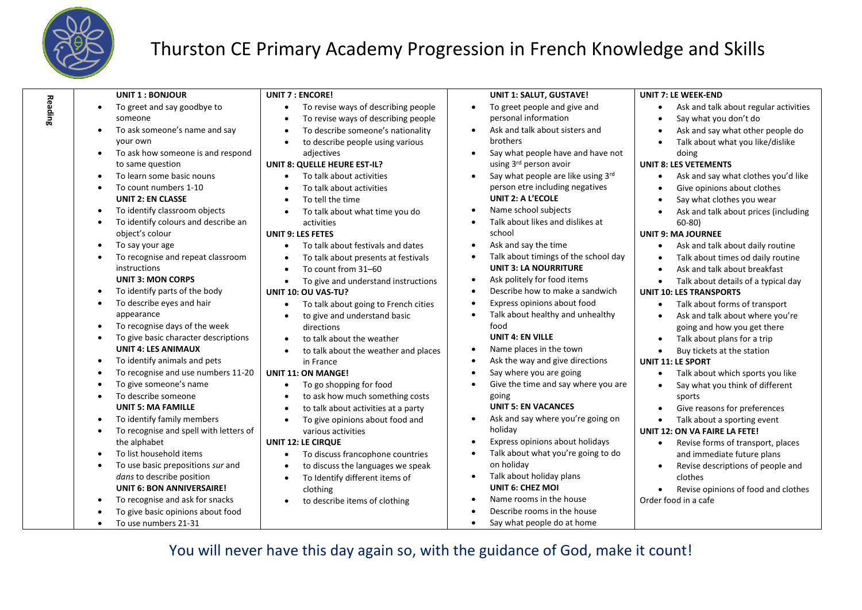

**Reading**

#### Thurston CE Primary Academy Progression in French Knowledge and Skills

| <b>UNIT 1: BONJOUR</b>                              | <b>UNIT 7: ENCORE!</b>                            | <b>UNIT 1: SALUT, GUSTAVE!</b>                    | <b>UNIT 7: LE WEEK-END</b>                         |
|-----------------------------------------------------|---------------------------------------------------|---------------------------------------------------|----------------------------------------------------|
| To greet and say goodbye to<br>$\bullet$            | To revise ways of describing people<br>$\bullet$  | To greet people and give and<br>$\bullet$         | Ask and talk about regular activities<br>$\bullet$ |
| someone                                             | To revise ways of describing people<br>$\bullet$  | personal information                              | Say what you don't do                              |
| To ask someone's name and say                       | To describe someone's nationality<br>$\bullet$    | Ask and talk about sisters and<br>$\bullet$       | Ask and say what other people do                   |
| your own                                            | to describe people using various<br>$\bullet$     | brothers                                          | Talk about what you like/dislike                   |
| To ask how someone is and respond<br>$\bullet$      | adjectives                                        | Say what people have and have not<br>$\bullet$    | doing                                              |
| to same question                                    | <b>UNIT 8: QUELLE HEURE EST-IL?</b>               | using 3rd person avoir                            | <b>UNIT 8: LES VETEMENTS</b>                       |
| To learn some basic nouns<br>$\bullet$              | To talk about activities                          | Say what people are like using 3rd<br>$\bullet$   | Ask and say what clothes you'd like                |
| To count numbers 1-10<br>$\bullet$                  | To talk about activities                          | person etre including negatives                   | Give opinions about clothes                        |
| <b>UNIT 2: EN CLASSE</b>                            | To tell the time                                  | <b>UNIT 2: A L'ECOLE</b>                          | Say what clothes you wear                          |
| To identify classroom objects<br>$\bullet$          | To talk about what time you do<br>$\bullet$       | Name school subjects<br>$\bullet$                 | Ask and talk about prices (including               |
| To identify colours and describe an<br>$\bullet$    | activities                                        | Talk about likes and dislikes at<br>$\bullet$     | $60 - 80$                                          |
| object's colour                                     | <b>UNIT 9: LES FETES</b>                          | school                                            | <b>UNIT 9: MA JOURNEE</b>                          |
| To say your age<br>$\bullet$                        | To talk about festivals and dates<br>$\bullet$    | Ask and say the time<br>$\bullet$                 | Ask and talk about daily routine                   |
| To recognise and repeat classroom                   | To talk about presents at festivals               | Talk about timings of the school day<br>$\bullet$ | Talk about times od daily routine                  |
| instructions                                        | To count from 31-60                               | <b>UNIT 3: LA NOURRITURE</b>                      | Ask and talk about breakfast                       |
| <b>UNIT 3: MON CORPS</b>                            | To give and understand instructions<br>$\bullet$  | Ask politely for food items<br>$\bullet$          | Talk about details of a typical day                |
| To identify parts of the body<br>$\bullet$          | UNIT 10: OU VAS-TU?                               | Describe how to make a sandwich<br>$\bullet$      | <b>UNIT 10: LES TRANSPORTS</b>                     |
| To describe eyes and hair<br>$\bullet$              | To talk about going to French cities<br>$\bullet$ | Express opinions about food<br>$\bullet$          | Talk about forms of transport<br>$\bullet$         |
| appearance                                          | to give and understand basic                      | Talk about healthy and unhealthy<br>$\bullet$     | Ask and talk about where you're                    |
| To recognise days of the week<br>$\bullet$          | directions                                        | food                                              | going and how you get there                        |
| To give basic character descriptions<br>$\bullet$   | to talk about the weather<br>$\bullet$            | <b>UNIT 4: EN VILLE</b>                           | Talk about plans for a trip                        |
| <b>UNIT 4: LES ANIMAUX</b>                          | to talk about the weather and places<br>$\bullet$ | Name places in the town<br>$\bullet$              | Buy tickets at the station<br>$\bullet$            |
| To identify animals and pets<br>$\bullet$           | in France                                         | Ask the way and give directions<br>$\bullet$      | <b>UNIT 11: LE SPORT</b>                           |
| To recognise and use numbers 11-20<br>$\bullet$     | <b>UNIT 11: ON MANGE!</b>                         | Say where you are going<br>$\bullet$              | Talk about which sports you like                   |
| To give someone's name<br>$\bullet$                 | To go shopping for food<br>$\bullet$              | Give the time and say where you are<br>$\bullet$  | Say what you think of different                    |
| To describe someone<br>$\bullet$                    | to ask how much something costs                   | going                                             | sports                                             |
| <b>UNIT 5: MA FAMILLE</b>                           | to talk about activities at a party               | <b>UNIT 5: EN VACANCES</b>                        | Give reasons for preferences                       |
| To identify family members<br>$\bullet$             | To give opinions about food and                   | Ask and say where you're going on<br>$\bullet$    | Talk about a sporting event                        |
| To recognise and spell with letters of<br>$\bullet$ | various activities                                | holiday                                           | <b>UNIT 12: ON VA FAIRE LA FETE!</b>               |
| the alphabet                                        | <b>UNIT 12: LE CIRQUE</b>                         | Express opinions about holidays<br>$\bullet$      | Revise forms of transport, places                  |
| To list household items                             | To discuss francophone countries                  | Talk about what you're going to do<br>$\bullet$   | and immediate future plans                         |
| To use basic prepositions sur and<br>$\bullet$      | to discuss the languages we speak                 | on holiday                                        | Revise descriptions of people and                  |
| dans to describe position                           | To Identify different items of<br>$\bullet$       | Talk about holiday plans<br>$\bullet$             | clothes                                            |
| <b>UNIT 6: BON ANNIVERSAIRE!</b>                    | clothing                                          | <b>UNIT 6: CHEZ MOI</b>                           | Revise opinions of food and clothes                |
| To recognise and ask for snacks<br>$\bullet$        | to describe items of clothing                     | Name rooms in the house<br>$\bullet$              | Order food in a cafe                               |
| To give basic opinions about food<br>$\bullet$      |                                                   | Describe rooms in the house<br>$\bullet$          |                                                    |
| To use numbers 21-31<br>$\bullet$                   |                                                   | Say what people do at home<br>$\bullet$           |                                                    |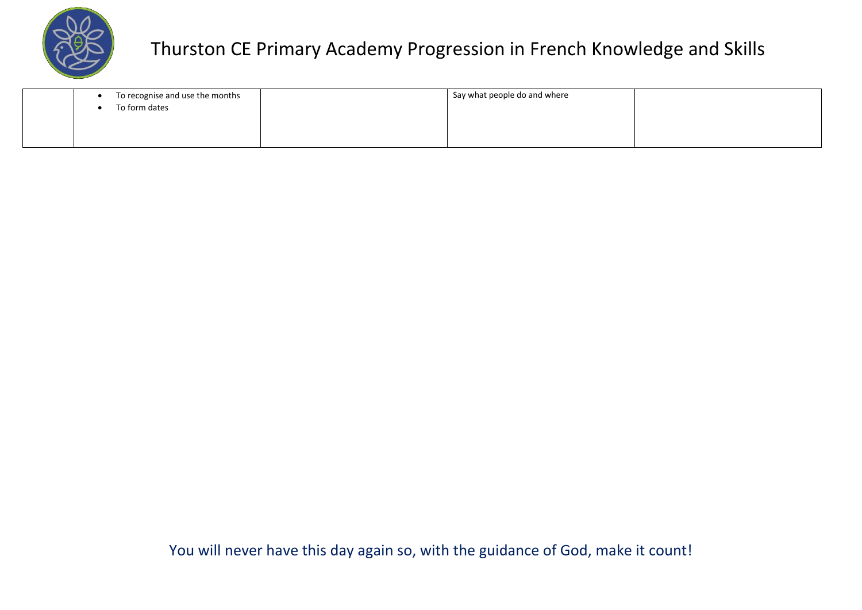

| To recognise and use the months | Say what people do and where |  |
|---------------------------------|------------------------------|--|
| To form dates                   |                              |  |
|                                 |                              |  |
|                                 |                              |  |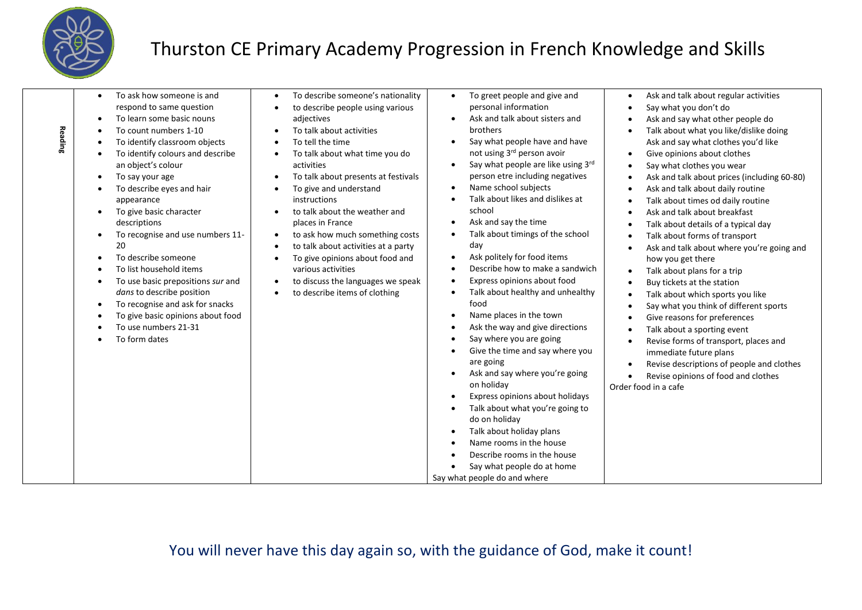

| Reading | To ask how someone is and<br>$\bullet$<br>respond to same question<br>To learn some basic nouns<br>$\bullet$<br>To count numbers 1-10<br>To identify classroom objects<br>To identify colours and describe<br>an object's colour<br>To say your age<br>To describe eyes and hair<br>appearance<br>To give basic character<br>descriptions<br>To recognise and use numbers 11-<br>20<br>To describe someone<br>To list household items<br>To use basic prepositions sur and<br>dans to describe position<br>To recognise and ask for snacks<br>$\bullet$<br>To give basic opinions about food<br>To use numbers 21-31<br>To form dates | To describe someone's nationality<br>to describe people using various<br>adjectives<br>To talk about activities<br>To tell the time<br>To talk about what time you do<br>activities<br>To talk about presents at festivals<br>To give and understand<br>instructions<br>to talk about the weather and<br>places in France<br>to ask how much something costs<br>$\bullet$<br>to talk about activities at a party<br>To give opinions about food and<br>various activities<br>to discuss the languages we speak<br>to describe items of clothing | To greet people and give and<br>$\bullet$<br>personal information<br>Ask and talk about sisters and<br>brothers<br>Say what people have and have<br>not using 3rd person avoir<br>Say what people are like using 3rd<br>person etre including negatives<br>Name school subjects<br>Talk about likes and dislikes at<br>school<br>Ask and say the time<br>Talk about timings of the school<br>day<br>Ask politely for food items<br>Describe how to make a sandwich<br>Express opinions about food<br>Talk about healthy and unhealthy<br>food<br>Name places in the town<br>Ask the way and give directions<br>Say where you are going<br>Give the time and say where you<br>are going<br>Ask and say where you're going<br>on holiday<br>Express opinions about holidays<br>Talk about what you're going to<br>do on holiday<br>Talk about holiday plans<br>Name rooms in the house | Ask and talk about regular activities<br>Say what you don't do<br>Ask and say what other people do<br>Talk about what you like/dislike doing<br>Ask and say what clothes you'd like<br>Give opinions about clothes<br>Say what clothes you wear<br>Ask and talk about prices (including 60-80)<br>Ask and talk about daily routine<br>Talk about times od daily routine<br>Ask and talk about breakfast<br>Talk about details of a typical day<br>Talk about forms of transport<br>Ask and talk about where you're going and<br>how you get there<br>Talk about plans for a trip<br>Buy tickets at the station<br>Talk about which sports you like<br>Say what you think of different sports<br>Give reasons for preferences<br>Talk about a sporting event<br>Revise forms of transport, places and<br>immediate future plans<br>Revise descriptions of people and clothes<br>Revise opinions of food and clothes<br>Order food in a cafe |
|---------|---------------------------------------------------------------------------------------------------------------------------------------------------------------------------------------------------------------------------------------------------------------------------------------------------------------------------------------------------------------------------------------------------------------------------------------------------------------------------------------------------------------------------------------------------------------------------------------------------------------------------------------|-------------------------------------------------------------------------------------------------------------------------------------------------------------------------------------------------------------------------------------------------------------------------------------------------------------------------------------------------------------------------------------------------------------------------------------------------------------------------------------------------------------------------------------------------|--------------------------------------------------------------------------------------------------------------------------------------------------------------------------------------------------------------------------------------------------------------------------------------------------------------------------------------------------------------------------------------------------------------------------------------------------------------------------------------------------------------------------------------------------------------------------------------------------------------------------------------------------------------------------------------------------------------------------------------------------------------------------------------------------------------------------------------------------------------------------------------|--------------------------------------------------------------------------------------------------------------------------------------------------------------------------------------------------------------------------------------------------------------------------------------------------------------------------------------------------------------------------------------------------------------------------------------------------------------------------------------------------------------------------------------------------------------------------------------------------------------------------------------------------------------------------------------------------------------------------------------------------------------------------------------------------------------------------------------------------------------------------------------------------------------------------------------------|
|         |                                                                                                                                                                                                                                                                                                                                                                                                                                                                                                                                                                                                                                       |                                                                                                                                                                                                                                                                                                                                                                                                                                                                                                                                                 | Describe rooms in the house<br>Say what people do at home<br>Say what people do and where                                                                                                                                                                                                                                                                                                                                                                                                                                                                                                                                                                                                                                                                                                                                                                                            |                                                                                                                                                                                                                                                                                                                                                                                                                                                                                                                                                                                                                                                                                                                                                                                                                                                                                                                                            |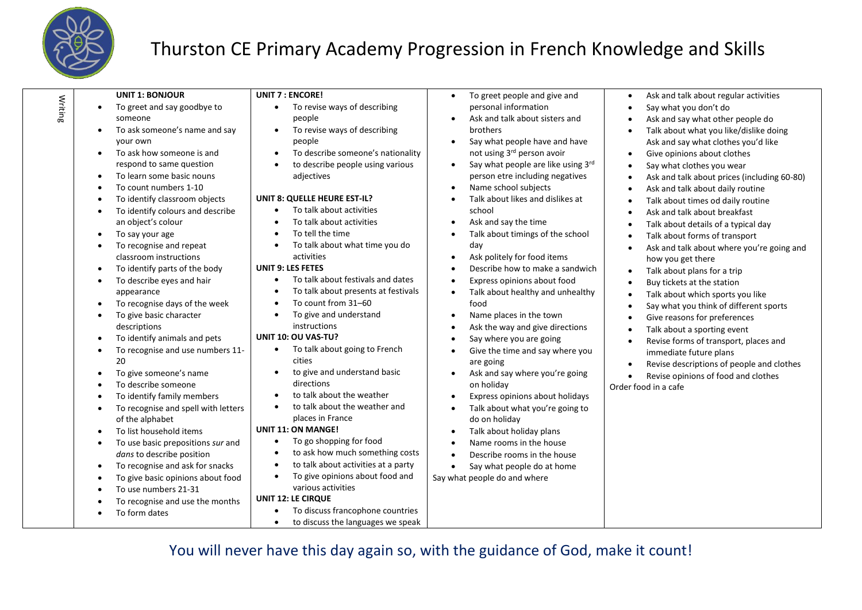

Writing

### Thurston CE Primary Academy Progression in French Knowledge and Skills

| <b>UNIT 1: BONJOUR</b><br>To greet and say goodbye to<br>$\bullet$<br>someone<br>To ask someone's name and say<br>your own                                                                                                                                                                                                                                                                                                                                                                                                                                                                                                                                                                                                                                                                                                                                                                                                  | <b>UNIT 7: ENCORE!</b><br>To revise ways of describing<br>$\bullet$<br>people<br>To revise ways of describing<br>$\bullet$<br>people                                                                                                                                                                                                                                                                                                                                                                                                                                                                                                                                                                                                                                                                                                                                                                                                                                              | To greet people and give and<br>$\bullet$<br>personal information<br>Ask and talk about sisters and<br>$\bullet$<br>brothers<br>Say what people have and have<br>$\bullet$                                                                                                                                                                                                                                                                                                                                                                                                                                                                                                                                                                                                                                                                                                                                                                                                                                                                                        | Ask and talk about regular activities<br>$\bullet$<br>Say what you don't do<br>$\bullet$<br>Ask and say what other people do<br>$\bullet$<br>Talk about what you like/dislike doing<br>$\bullet$<br>Ask and say what clothes you'd like                                                                                                                                                                                                                                                                                                                                                                                                                                                                                                                                                                                                                                                                                                                                                       |
|-----------------------------------------------------------------------------------------------------------------------------------------------------------------------------------------------------------------------------------------------------------------------------------------------------------------------------------------------------------------------------------------------------------------------------------------------------------------------------------------------------------------------------------------------------------------------------------------------------------------------------------------------------------------------------------------------------------------------------------------------------------------------------------------------------------------------------------------------------------------------------------------------------------------------------|-----------------------------------------------------------------------------------------------------------------------------------------------------------------------------------------------------------------------------------------------------------------------------------------------------------------------------------------------------------------------------------------------------------------------------------------------------------------------------------------------------------------------------------------------------------------------------------------------------------------------------------------------------------------------------------------------------------------------------------------------------------------------------------------------------------------------------------------------------------------------------------------------------------------------------------------------------------------------------------|-------------------------------------------------------------------------------------------------------------------------------------------------------------------------------------------------------------------------------------------------------------------------------------------------------------------------------------------------------------------------------------------------------------------------------------------------------------------------------------------------------------------------------------------------------------------------------------------------------------------------------------------------------------------------------------------------------------------------------------------------------------------------------------------------------------------------------------------------------------------------------------------------------------------------------------------------------------------------------------------------------------------------------------------------------------------|-----------------------------------------------------------------------------------------------------------------------------------------------------------------------------------------------------------------------------------------------------------------------------------------------------------------------------------------------------------------------------------------------------------------------------------------------------------------------------------------------------------------------------------------------------------------------------------------------------------------------------------------------------------------------------------------------------------------------------------------------------------------------------------------------------------------------------------------------------------------------------------------------------------------------------------------------------------------------------------------------|
| To ask how someone is and<br>$\bullet$<br>respond to same question<br>To learn some basic nouns<br>$\bullet$<br>To count numbers 1-10<br>$\bullet$<br>To identify classroom objects<br>$\bullet$<br>To identify colours and describe<br>an object's colour<br>To say your age<br>$\bullet$<br>To recognise and repeat<br>classroom instructions<br>To identify parts of the body<br>$\bullet$<br>To describe eyes and hair<br>$\bullet$<br>appearance<br>To recognise days of the week<br>$\bullet$<br>To give basic character<br>descriptions<br>To identify animals and pets<br>$\bullet$<br>To recognise and use numbers 11-<br>20<br>To give someone's name<br>To describe someone<br>To identify family members<br>To recognise and spell with letters<br>of the alphabet<br>To list household items<br>To use basic prepositions sur and<br>dans to describe position<br>To recognise and ask for snacks<br>$\bullet$ | To describe someone's nationality<br>$\bullet$<br>to describe people using various<br>$\bullet$<br>adjectives<br>UNIT 8: QUELLE HEURE EST-IL?<br>To talk about activities<br>$\bullet$<br>To talk about activities<br>$\bullet$<br>To tell the time<br>$\bullet$<br>To talk about what time you do<br>٠<br>activities<br><b>UNIT 9: LES FETES</b><br>To talk about festivals and dates<br>$\bullet$<br>To talk about presents at festivals<br>$\bullet$<br>To count from 31-60<br>$\bullet$<br>To give and understand<br>$\bullet$<br>instructions<br>UNIT 10: OU VAS-TU?<br>To talk about going to French<br>$\bullet$<br>cities<br>to give and understand basic<br>$\bullet$<br>directions<br>to talk about the weather<br>$\bullet$<br>to talk about the weather and<br>$\bullet$<br>places in France<br><b>UNIT 11: ON MANGE!</b><br>To go shopping for food<br>$\bullet$<br>to ask how much something costs<br>$\bullet$<br>to talk about activities at a party<br>$\bullet$ | not using 3rd person avoir<br>Say what people are like using 3rd<br>$\bullet$<br>person etre including negatives<br>Name school subjects<br>$\bullet$<br>Talk about likes and dislikes at<br>$\bullet$<br>school<br>Ask and say the time<br>$\bullet$<br>Talk about timings of the school<br>$\bullet$<br>day<br>Ask politely for food items<br>$\bullet$<br>Describe how to make a sandwich<br>$\bullet$<br>Express opinions about food<br>$\bullet$<br>Talk about healthy and unhealthy<br>$\bullet$<br>food<br>Name places in the town<br>$\bullet$<br>Ask the way and give directions<br>$\bullet$<br>Say where you are going<br>$\bullet$<br>Give the time and say where you<br>$\bullet$<br>are going<br>Ask and say where you're going<br>$\bullet$<br>on holiday<br>Express opinions about holidays<br>$\bullet$<br>Talk about what you're going to<br>$\bullet$<br>do on holiday<br>Talk about holiday plans<br>$\bullet$<br>Name rooms in the house<br>$\bullet$<br>Describe rooms in the house<br>$\bullet$<br>Say what people do at home<br>$\bullet$ | Give opinions about clothes<br>$\bullet$<br>Say what clothes you wear<br>$\bullet$<br>Ask and talk about prices (including 60-80)<br>$\bullet$<br>Ask and talk about daily routine<br>$\bullet$<br>Talk about times od daily routine<br>$\bullet$<br>Ask and talk about breakfast<br>$\bullet$<br>Talk about details of a typical day<br>$\bullet$<br>Talk about forms of transport<br>$\bullet$<br>Ask and talk about where you're going and<br>$\bullet$<br>how you get there<br>Talk about plans for a trip<br>$\bullet$<br>Buy tickets at the station<br>$\bullet$<br>Talk about which sports you like<br>$\bullet$<br>Say what you think of different sports<br>$\bullet$<br>Give reasons for preferences<br>$\bullet$<br>Talk about a sporting event<br>$\bullet$<br>Revise forms of transport, places and<br>$\bullet$<br>immediate future plans<br>Revise descriptions of people and clothes<br>$\bullet$<br>Revise opinions of food and clothes<br>$\bullet$<br>Order food in a cafe |
| To give basic opinions about food<br>$\bullet$<br>To use numbers 21-31<br>To recognise and use the months<br>To form dates                                                                                                                                                                                                                                                                                                                                                                                                                                                                                                                                                                                                                                                                                                                                                                                                  | To give opinions about food and<br>$\bullet$<br>various activities<br><b>UNIT 12: LE CIRQUE</b><br>To discuss francophone countries<br>to discuss the languages we speak<br>$\bullet$                                                                                                                                                                                                                                                                                                                                                                                                                                                                                                                                                                                                                                                                                                                                                                                             | Say what people do and where                                                                                                                                                                                                                                                                                                                                                                                                                                                                                                                                                                                                                                                                                                                                                                                                                                                                                                                                                                                                                                      |                                                                                                                                                                                                                                                                                                                                                                                                                                                                                                                                                                                                                                                                                                                                                                                                                                                                                                                                                                                               |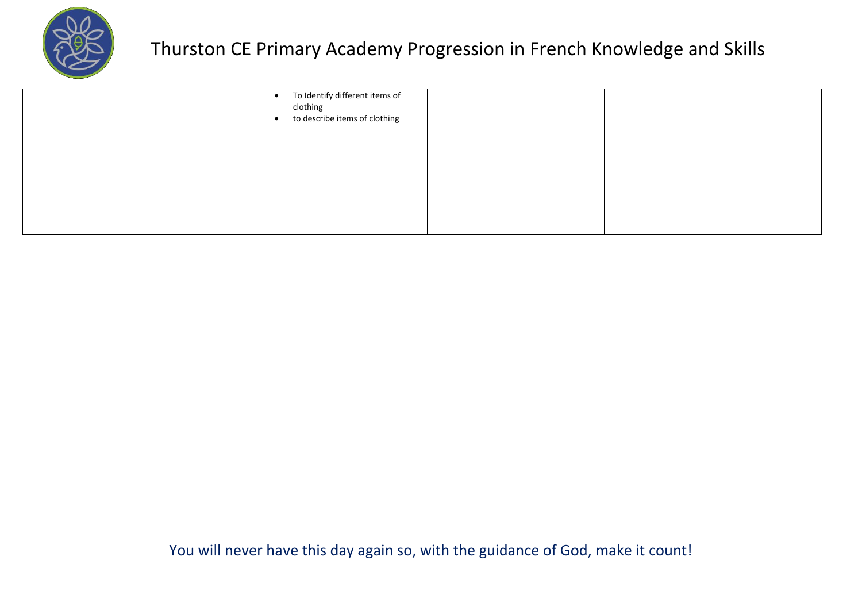

|  | • To Identify different items of<br>clothing<br>to describe items of clothing<br>$\bullet$ |  |
|--|--------------------------------------------------------------------------------------------|--|
|  |                                                                                            |  |
|  |                                                                                            |  |
|  |                                                                                            |  |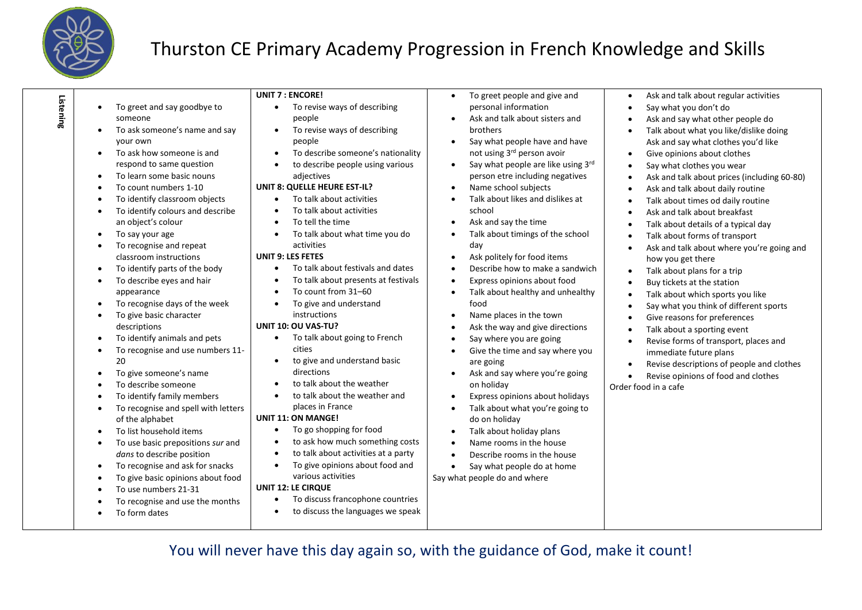

| Listening | $\bullet$ | To greet and say goodbye to         | <b>UNIT 7 : ENCORE!</b><br>To revise ways of describing | To greet people and give and<br>$\bullet$<br>personal information | Ask and talk about regular activities<br>Say what you don't do |
|-----------|-----------|-------------------------------------|---------------------------------------------------------|-------------------------------------------------------------------|----------------------------------------------------------------|
|           |           | someone                             | people                                                  | Ask and talk about sisters and                                    | Ask and say what other people do                               |
|           | $\bullet$ | To ask someone's name and say       | To revise ways of describing                            | brothers                                                          | Talk about what you like/dislike doing                         |
|           |           | your own                            | people                                                  | Say what people have and have<br>$\bullet$                        | Ask and say what clothes you'd like                            |
|           | $\bullet$ | To ask how someone is and           | To describe someone's nationality                       | not using 3rd person avoir                                        | Give opinions about clothes<br>$\bullet$                       |
|           |           | respond to same question            | to describe people using various                        | Say what people are like using 3rd<br>$\bullet$                   | Say what clothes you wear                                      |
|           |           | To learn some basic nouns           | adjectives                                              | person etre including negatives                                   | Ask and talk about prices (including 60-80)                    |
|           |           | To count numbers 1-10               | UNIT 8: QUELLE HEURE EST-IL?                            | Name school subjects<br>$\bullet$                                 | Ask and talk about daily routine                               |
|           |           | To identify classroom objects       | To talk about activities                                | Talk about likes and dislikes at                                  | Talk about times od daily routine                              |
|           |           | To identify colours and describe    | To talk about activities                                | school                                                            | Ask and talk about breakfast                                   |
|           |           | an object's colour                  | To tell the time                                        | Ask and say the time<br>$\bullet$                                 | Talk about details of a typical day<br>$\bullet$               |
|           | $\bullet$ | To say your age                     | To talk about what time you do                          | Talk about timings of the school<br>$\bullet$                     | Talk about forms of transport<br>$\bullet$                     |
|           |           | To recognise and repeat             | activities                                              | day                                                               | Ask and talk about where you're going and<br>$\bullet$         |
|           |           | classroom instructions              | <b>UNIT 9: LES FETES</b>                                | Ask politely for food items<br>$\bullet$                          | how you get there                                              |
|           |           | To identify parts of the body       | To talk about festivals and dates                       | Describe how to make a sandwich<br>$\bullet$                      | Talk about plans for a trip<br>$\bullet$                       |
|           | ٠         | To describe eyes and hair           | To talk about presents at festivals                     | Express opinions about food<br>$\bullet$                          | Buy tickets at the station<br>$\bullet$                        |
|           |           | appearance                          | To count from 31-60                                     | Talk about healthy and unhealthy<br>$\bullet$                     | Talk about which sports you like<br>$\bullet$                  |
|           |           | To recognise days of the week       | To give and understand                                  | food                                                              | Say what you think of different sports                         |
|           |           | To give basic character             | instructions                                            | Name places in the town<br>$\bullet$                              | Give reasons for preferences                                   |
|           |           | descriptions                        | UNIT 10: OU VAS-TU?                                     | Ask the way and give directions<br>$\bullet$                      | Talk about a sporting event                                    |
|           |           | To identify animals and pets        | To talk about going to French                           | Say where you are going                                           | Revise forms of transport, places and<br>$\bullet$             |
|           |           | To recognise and use numbers 11-    | cities                                                  | Give the time and say where you                                   | immediate future plans                                         |
|           |           | 20                                  | to give and understand basic                            | are going                                                         | Revise descriptions of people and clothes                      |
|           |           | To give someone's name              | directions                                              | Ask and say where you're going                                    | Revise opinions of food and clothes                            |
|           |           | To describe someone                 | to talk about the weather                               | on holiday                                                        | Order food in a cafe                                           |
|           |           | To identify family members          | to talk about the weather and                           | Express opinions about holidays                                   |                                                                |
|           |           | To recognise and spell with letters | places in France                                        | Talk about what you're going to<br>$\bullet$                      |                                                                |
|           |           | of the alphabet                     | <b>UNIT 11: ON MANGE!</b>                               | do on holiday                                                     |                                                                |
|           |           | To list household items             | To go shopping for food                                 | Talk about holiday plans<br>$\bullet$                             |                                                                |
|           |           | To use basic prepositions sur and   | to ask how much something costs                         | Name rooms in the house<br>$\bullet$                              |                                                                |
|           |           | dans to describe position           | to talk about activities at a party                     | Describe rooms in the house<br>$\bullet$                          |                                                                |
|           | ٠         | To recognise and ask for snacks     | To give opinions about food and                         | Say what people do at home<br>$\bullet$                           |                                                                |
|           |           | To give basic opinions about food   | various activities                                      | Say what people do and where                                      |                                                                |
|           |           | To use numbers 21-31                | <b>UNIT 12: LE CIRQUE</b>                               |                                                                   |                                                                |
|           |           | To recognise and use the months     | To discuss francophone countries                        |                                                                   |                                                                |
|           |           | To form dates                       | to discuss the languages we speak                       |                                                                   |                                                                |
|           |           |                                     |                                                         |                                                                   |                                                                |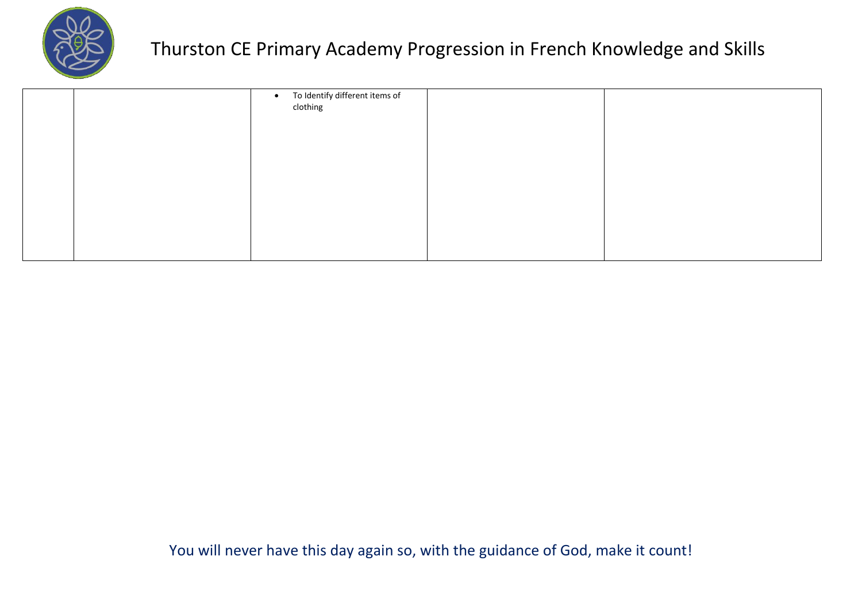

|  | • To Identify different items of<br>clothing |  |
|--|----------------------------------------------|--|
|  |                                              |  |
|  |                                              |  |
|  |                                              |  |
|  |                                              |  |
|  |                                              |  |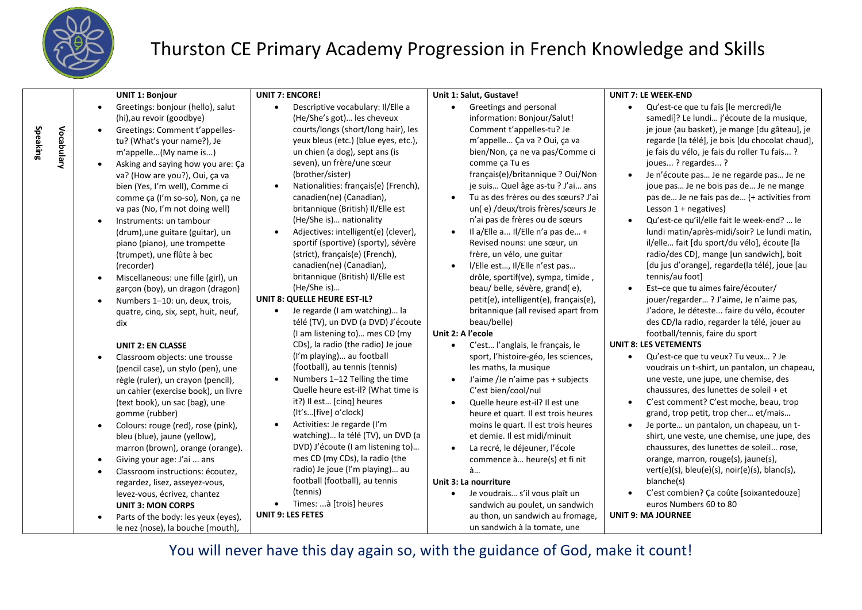

**Speaking**

# Thurston CE Primary Academy Progression in French Knowledge and Skills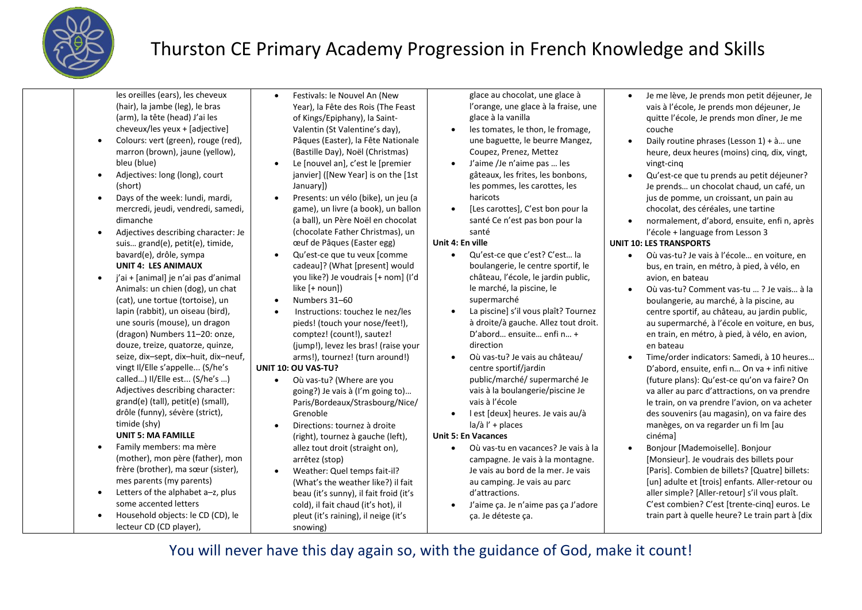

les oreilles (ears), les cheveux (hair), la jambe (leg), le bras (arm), la tête (head) J'ai les cheveux/les yeux + [adjective]

- Colours: vert (green), rouge (red), marron (brown), jaune (yellow), bleu (blue)
- Adjectives: long (long), court (short)
- Days of the week: lundi, mardi, mercredi, jeudi, vendredi, samedi, dimanche
- Adjectives describing character: Je suis… grand(e), petit(e), timide, bavard(e), drôle, sympa **UNIT 4: LES ANIMAUX**
- j'ai + [animal] je n'ai pas d'animal Animals: un chien (dog), un chat (cat), une tortue (tortoise), un lapin (rabbit), un oiseau (bird), une souris (mouse), un dragon (dragon) Numbers 11–20: onze, douze, treize, quatorze, quinze, seize, dix–sept, dix–huit, dix–neuf, vingt Il/Elle s'appelle... (S/he's called…) Il/Elle est... (S/he's …) Adjectives describing character: grand(e) (tall), petit(e) (small), drôle (funny), sévère (strict), timide (shy) **UNIT 5: MA FAMILLE**
- Family members: ma mère (mother), mon père (father), mon frère (brother), ma sœur (sister), mes parents (my parents)
- Letters of the alphabet a-z, plus some accented letters
- Household objects: le CD (CD), le lecteur CD (CD player),
- Festivals: le Nouvel An (New Year), la Fête des Rois (The Feast of Kings/Epiphany), la Saint-Valentin (St Valentine's day), Pâques (Easter), la Fête Nationale (Bastille Day), Noël (Christmas)
- Le [nouvel an], c'est le [premier janvier] ([New Year] is on the [1st January])
- Presents: un vélo (bike), un jeu (a game), un livre (a book), un ballon (a ball), un Père Noël en chocolat (chocolate Father Christmas), un œuf de Pâques (Easter egg)
- Qu'est-ce que tu veux [comme cadeau]? (What [present] would you like?) Je voudrais [+ nom] (I'd like [+ noun])
- Numbers 31–60
- Instructions: touchez le nez/les pieds! (touch your nose/feet!), comptez! (count!), sautez! (jump!), levez les bras! (raise your arms!), tournez! (turn around!)
- **UNIT 10: OU VAS-TU?**
	- Où vas-tu? (Where are you going?) Je vais à (I'm going to)… Paris/Bordeaux/Strasbourg/Nice/ Grenoble
	- Directions: tournez à droite (right), tournez à gauche (left), allez tout droit (straight on), arrêtez (stop)
	- Weather: Quel temps fait-il? (What's the weather like?) il fait beau (it's sunny), il fait froid (it's cold), il fait chaud (it's hot), il pleut (it's raining), il neige (it's snowing)

glace au chocolat, une glace à l'orange, une glace à la fraise, une glace à la vanilla

- les tomates, le thon, le fromage, une baguette, le beurre Mangez, Coupez, Prenez, Mettez
- J'aime /Je n'aime pas … les gâteaux, les frites, les bonbons, les pommes, les carottes, les haricots
- [Les carottes], C'est bon pour la santé Ce n'est pas bon pour la santé

#### **Unit 4: En ville**

- Qu'est-ce que c'est? C'est… la boulangerie, le centre sportif, le château, l'école, le jardin public, le marché, la piscine, le supermarché
- La piscine] s'il vous plaît? Tournez à droite/à gauche. Allez tout droit. D'abord… ensuite… enfi n… + direction
- Où vas-tu? Je vais au château/ centre sportif/jardin public/marché/ supermarché Je vais à la boulangerie/piscine Je vais à l'école
- l est [deux] heures. Je vais au/à  $|a/\grave{a}|'$  + places

#### **Unit 5: En Vacances**

- Où vas-tu en vacances? Je vais à la campagne. Je vais à la montagne. Je vais au bord de la mer. Je vais au camping. Je vais au parc d'attractions.
- J'aime ça. Je n'aime pas ça J'adore ça. Je déteste ça.
- Je me lève, Je prends mon petit déjeuner, Je vais à l'école, Je prends mon déjeuner, Je quitte l'école, Je prends mon dîner, Je me couche
- Daily routine phrases (Lesson  $1$ ) +  $\lambda$ ... une heure, deux heures (moins) cing, dix, vingt, vingt-cinq
- Qu'est-ce que tu prends au petit déjeuner? Je prends… un chocolat chaud, un café, un jus de pomme, un croissant, un pain au chocolat, des céréales, une tartine
- normalement, d'abord, ensuite, enfi n, après l'école + language from Lesson 3

#### **UNIT 10: LES TRANSPORTS**

- Où vas-tu? Je vais à l'école… en voiture, en bus, en train, en métro, à pied, à vélo, en avion, en bateau
- Où vas-tu? Comment vas-tu … ? Je vais… à la boulangerie, au marché, à la piscine, au centre sportif, au château, au jardin public, au supermarché, à l'école en voiture, en bus, en train, en métro, à pied, à vélo, en avion, en bateau
- Time/order indicators: Samedi, à 10 heures… D'abord, ensuite, enfi n… On va + infi nitive (future plans): Qu'est-ce qu'on va faire? On va aller au parc d'attractions, on va prendre le train, on va prendre l'avion, on va acheter des souvenirs (au magasin), on va faire des manèges, on va regarder un fi lm [au cinéma]
- Bonjour [Mademoiselle]. Bonjour [Monsieur]. Je voudrais des billets pour [Paris]. Combien de billets? [Quatre] billets: [un] adulte et [trois] enfants. Aller-retour ou aller simple? [Aller-retour] s'il vous plaît. C'est combien? C'est [trente-cinq] euros. Le train part à quelle heure? Le train part à [dix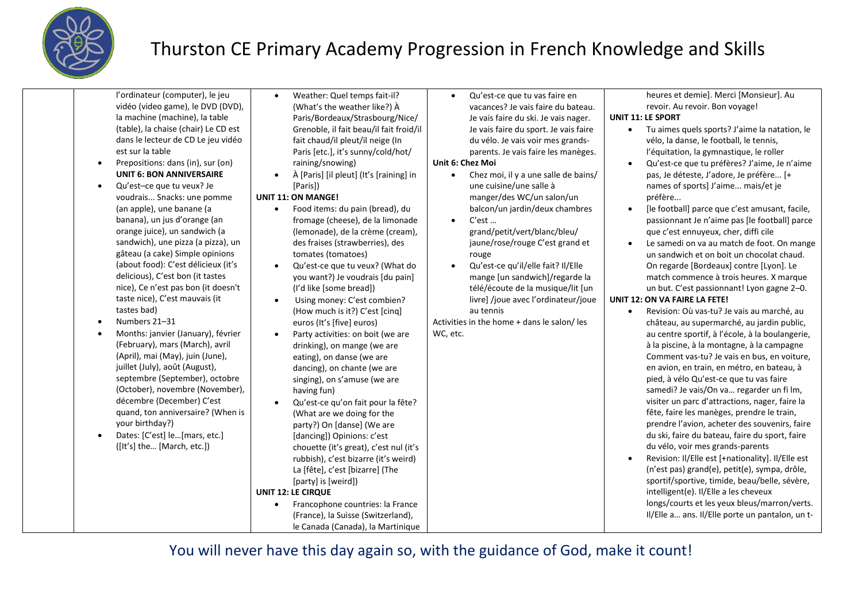

| l'ordinateur (computer), le jeu<br>Weather: Quel temps fait-il?<br>Qu'est-ce que tu vas faire en<br>$\bullet$<br>vidéo (video game), le DVD (DVD),<br>(What's the weather like?) À<br>vacances? Je vais faire du bateau.<br>la machine (machine), la table<br>Paris/Bordeaux/Strasbourg/Nice/<br><b>UNIT 11: LE SPORT</b><br>Je vais faire du ski. Je vais nager.<br>(table), la chaise (chair) Le CD est<br>Grenoble, il fait beau/il fait froid/il<br>Je vais faire du sport. Je vais faire<br>$\bullet$<br>dans le lecteur de CD Le jeu vidéo<br>fait chaud/il pleut/il neige (In<br>du vélo. Je vais voir mes grands-<br>est sur la table<br>Paris [etc.], it's sunny/cold/hot/<br>parents. Je vais faire les manèges.<br>Prepositions: dans (in), sur (on)<br>raining/snowing)<br>Unit 6: Chez Moi<br>$\bullet$<br><b>UNIT 6: BON ANNIVERSAIRE</b><br>À [Paris] [il pleut] (It's [raining] in<br>Chez moi, il y a une salle de bains/<br>$\bullet$<br>$\bullet$<br>Qu'est-ce que tu veux? Je<br>une cuisine/une salle à<br>[Paris])<br><b>UNIT 11: ON MANGE!</b><br>manger/des WC/un salon/un<br>voudrais Snacks: une pomme<br>préfère<br>(an apple), une banane (a<br>Food items: du pain (bread), du<br>balcon/un jardin/deux chambres<br>$\bullet$<br>banana), un jus d'orange (an<br>fromage (cheese), de la limonade<br>$C'est$<br>$\bullet$<br>orange juice), un sandwich (a<br>(lemonade), de la crème (cream),<br>grand/petit/vert/blanc/bleu/<br>sandwich), une pizza (a pizza), un<br>des fraises (strawberries), des<br>jaune/rose/rouge C'est grand et<br>gâteau (a cake) Simple opinions<br>tomates (tomatoes)<br>rouge<br>(about food): C'est délicieux (it's<br>Qu'est-ce que tu veux? (What do<br>Qu'est-ce qu'il/elle fait? Il/Elle<br>$\bullet$<br>$\bullet$<br>delicious), C'est bon (it tastes<br>you want?) Je voudrais [du pain]<br>mange [un sandwich]/regarde la<br>nice), Ce n'est pas bon (it doesn't<br>(I'd like [some bread])<br>télé/écoute de la musique/lit [un<br>taste nice), C'est mauvais (it<br>livre] /joue avec l'ordinateur/joue<br><b>UNIT 12: ON VA FAIRE LA FETE!</b><br>Using money: C'est combien?<br>tastes bad)<br>au tennis<br>(How much is it?) C'est [cinq]<br>$\bullet$<br>Numbers 21-31<br>Activities in the home + dans le salon/les<br>euros (It's [five] euros)<br>Months: janvier (January), février<br>WC, etc.<br>Party activities: on boit (we are<br>(February), mars (March), avril<br>drinking), on mange (we are<br>(April), mai (May), juin (June),<br>eating), on danse (we are<br>juillet (July), août (August),<br>dancing), on chante (we are<br>septembre (September), octobre<br>singing), on s'amuse (we are | heures et demie]. Merci [Monsieur]. Au<br>revoir. Au revoir. Bon voyage!<br>Tu aimes quels sports? J'aime la natation, le<br>vélo, la danse, le football, le tennis,<br>l'équitation, la gymnastique, le roller<br>Qu'est-ce que tu préfères? J'aime, Je n'aime                                                                                                                                                                                                                                                                                                                                                                                                                                                                                                                                                                                                                                                                                                                                                                                                                                                                                                                                                                                                                                                                                                                    |
|------------------------------------------------------------------------------------------------------------------------------------------------------------------------------------------------------------------------------------------------------------------------------------------------------------------------------------------------------------------------------------------------------------------------------------------------------------------------------------------------------------------------------------------------------------------------------------------------------------------------------------------------------------------------------------------------------------------------------------------------------------------------------------------------------------------------------------------------------------------------------------------------------------------------------------------------------------------------------------------------------------------------------------------------------------------------------------------------------------------------------------------------------------------------------------------------------------------------------------------------------------------------------------------------------------------------------------------------------------------------------------------------------------------------------------------------------------------------------------------------------------------------------------------------------------------------------------------------------------------------------------------------------------------------------------------------------------------------------------------------------------------------------------------------------------------------------------------------------------------------------------------------------------------------------------------------------------------------------------------------------------------------------------------------------------------------------------------------------------------------------------------------------------------------------------------------------------------------------------------------------------------------------------------------------------------------------------------------------------------------------------------------------------------------------------------------------------------------------------------------------------------------------------------------------------------------------------------------------------------------------------------------------------------------------------------|------------------------------------------------------------------------------------------------------------------------------------------------------------------------------------------------------------------------------------------------------------------------------------------------------------------------------------------------------------------------------------------------------------------------------------------------------------------------------------------------------------------------------------------------------------------------------------------------------------------------------------------------------------------------------------------------------------------------------------------------------------------------------------------------------------------------------------------------------------------------------------------------------------------------------------------------------------------------------------------------------------------------------------------------------------------------------------------------------------------------------------------------------------------------------------------------------------------------------------------------------------------------------------------------------------------------------------------------------------------------------------|
| (October), novembre (November),<br>having fun)<br>décembre (December) C'est<br>Qu'est-ce qu'on fait pour la fête?<br>$\bullet$<br>quand, ton anniversaire? (When is<br>(What are we doing for the<br>your birthday?)<br>party?) On [danse] (We are<br>Dates: [C'est] le[mars, etc.]<br>[dancing]) Opinions: c'est<br>([It's] the [March, etc.])<br>chouette (it's great), c'est nul (it's<br>rubbish), c'est bizarre (it's weird)<br>La [fête], c'est [bizarre] (The<br>[party] is [weird])<br><b>UNIT 12: LE CIRQUE</b><br>Francophone countries: la France<br>(France), la Suisse (Switzerland),<br>le Canada (Canada), la Martinique                                                                                                                                                                                                                                                                                                                                                                                                                                                                                                                                                                                                                                                                                                                                                                                                                                                                                                                                                                                                                                                                                                                                                                                                                                                                                                                                                                                                                                                                                                                                                                                                                                                                                                                                                                                                                                                                                                                                                                                                                                                  | pas, Je déteste, J'adore, Je préfère [+<br>names of sports] J'aime mais/et je<br>[le football] parce que c'est amusant, facile,<br>passionnant Je n'aime pas [le football] parce<br>que c'est ennuyeux, cher, diffi cile<br>Le samedi on va au match de foot. On mange<br>un sandwich et on boit un chocolat chaud.<br>On regarde [Bordeaux] contre [Lyon]. Le<br>match commence à trois heures. X marque<br>un but. C'est passionnant! Lyon gagne 2-0.<br>Revision: Où vas-tu? Je vais au marché, au<br>château, au supermarché, au jardin public,<br>au centre sportif, à l'école, à la boulangerie,<br>à la piscine, à la montagne, à la campagne<br>Comment vas-tu? Je vais en bus, en voiture,<br>en avion, en train, en métro, en bateau, à<br>pied, à vélo Qu'est-ce que tu vas faire<br>samedi? Je vais/On va regarder un fi lm,<br>visiter un parc d'attractions, nager, faire la<br>fête, faire les manèges, prendre le train,<br>prendre l'avion, acheter des souvenirs, faire<br>du ski, faire du bateau, faire du sport, faire<br>du vélo, voir mes grands-parents<br>Revision: II/Elle est [+nationality]. II/Elle est<br>(n'est pas) grand(e), petit(e), sympa, drôle,<br>sportif/sportive, timide, beau/belle, sévère,<br>intelligent(e). Il/Elle a les cheveux<br>longs/courts et les yeux bleus/marron/verts.<br>Il/Elle a ans. Il/Elle porte un pantalon, un t- |